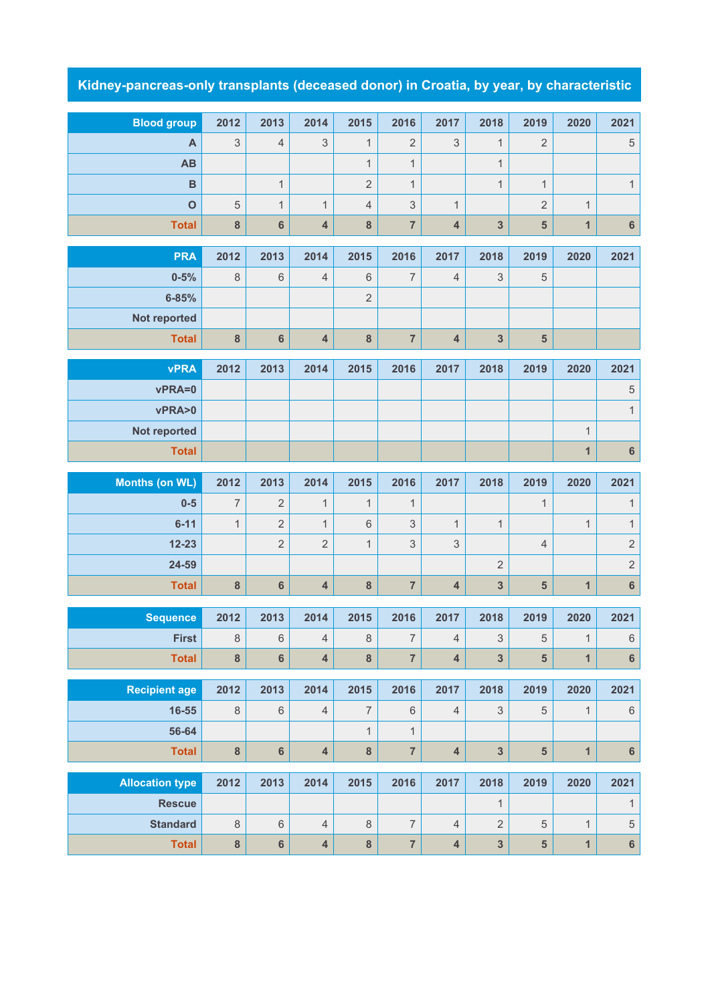## **Kidney-pancreas-only transplants (deceased donor) in Croatia, by year, by characteristic**

| <b>Blood group</b>                      | 2012                      | 2013           | 2014                    | 2015                | 2016           | 2017                      | 2018                    | 2019                    | 2020           | 2021                 |
|-----------------------------------------|---------------------------|----------------|-------------------------|---------------------|----------------|---------------------------|-------------------------|-------------------------|----------------|----------------------|
| A                                       | $\ensuremath{\mathsf{3}}$ | 4              | 3                       | 1                   | 2              | $\ensuremath{\mathsf{3}}$ | 1                       | $\overline{2}$          |                | $\sqrt{5}$           |
| AB                                      |                           |                |                         | $\mathbf{1}$        | $\mathbf{1}$   |                           | $\mathbf{1}$            |                         |                |                      |
| $\overline{B}$                          |                           | $\mathbf{1}$   |                         | $\overline{2}$      | $\mathbf{1}$   |                           | $\mathbf{1}$            | $\mathbf{1}$            |                | $\mathbf{1}$         |
| $\mathbf{o}$                            | 5                         | $\mathbf{1}$   | $\mathbf{1}$            | $\overline{4}$      | 3              | $\mathbf{1}$              |                         | $\overline{2}$          | $\mathbf{1}$   |                      |
| <b>Total</b>                            | ${\bf 8}$                 | $6\phantom{1}$ | 4                       | 8                   | $\overline{7}$ | $\overline{\mathbf{4}}$   | 3                       | $\overline{\mathbf{5}}$ | $\mathbf{1}$   | $\bf 6$              |
|                                         |                           |                |                         |                     |                |                           | 2018                    |                         |                |                      |
| <b>PRA</b><br>$0 - 5%$                  | 2012                      | 2013           | 2014<br>4               | 2015<br>$\,$ 6 $\,$ | 2016<br>7      | 2017<br>$\overline{4}$    |                         | 2019<br>$\mathbf 5$     | 2020           | 2021                 |
| $6 - 85%$                               | 8                         | $\,$ 6 $\,$    |                         | $\overline{2}$      |                |                           | 3                       |                         |                |                      |
| Not reported                            |                           |                |                         |                     |                |                           |                         |                         |                |                      |
| <b>Total</b>                            | 8                         | $6\phantom{1}$ | $\overline{4}$          | $\boldsymbol{8}$    | $\overline{7}$ | $\overline{\mathbf{4}}$   | $\overline{3}$          | $5\phantom{1}$          |                |                      |
|                                         |                           |                |                         |                     |                |                           |                         |                         |                |                      |
| <b>vPRA</b>                             | 2012                      | 2013           | 2014                    | 2015                | 2016           | 2017                      | 2018                    | 2019                    | 2020           | 2021                 |
| vPRA=0                                  |                           |                |                         |                     |                |                           |                         |                         |                | $\,$ 5 $\,$          |
| vPRA>0                                  |                           |                |                         |                     |                |                           |                         |                         |                | $\mathbf{1}$         |
| Not reported                            |                           |                |                         |                     |                |                           |                         |                         | $\mathbf{1}$   |                      |
| <b>Total</b>                            |                           |                |                         |                     |                |                           |                         |                         | $\mathbf{1}$   | $6\phantom{a}$       |
| <b>Months (on WL)</b>                   | 2012                      | 2013           | 2014                    | 2015                | 2016           | 2017                      | 2018                    | 2019                    | 2020           | 2021                 |
| $0 - 5$                                 | $\overline{7}$            | $\overline{2}$ | $\mathbf{1}$            | $\mathbf{1}$        | $\mathbf{1}$   |                           |                         | $\mathbf{1}$            |                | $\mathbf{1}$         |
| $6 - 11$                                | $\mathbf{1}$              | $\overline{2}$ | $\mathbf{1}$            | $6\phantom{1}$      | 3              | $\mathbf{1}$              | $\mathbf{1}$            |                         | $\mathbf{1}$   | $\mathbf{1}$         |
| $12 - 23$                               |                           | $\overline{2}$ | $\overline{2}$          | $\mathbf{1}$        | 3              | 3                         |                         | $\overline{4}$          |                | $\sqrt{2}$           |
| 24-59                                   |                           |                |                         |                     |                |                           | $\sqrt{2}$              |                         |                | $\sqrt{2}$           |
| <b>Total</b>                            | 8                         |                |                         |                     |                |                           |                         |                         |                |                      |
|                                         |                           | $6\phantom{a}$ | $\overline{4}$          | $\boldsymbol{8}$    | $\overline{7}$ | $\overline{\mathbf{4}}$   | 3                       | $5\phantom{1}$          | $\mathbf{1}$   | $6\phantom{a}$       |
|                                         |                           |                |                         |                     |                |                           |                         |                         |                |                      |
| <b>Sequence</b>                         | 2012                      | 2013           | 2014                    | 2015                | 2016           | 2017                      | 2018                    | 2019                    | 2020           | 2021                 |
| <b>First</b>                            | $\,8\,$                   | $\,6\,$        | $\overline{4}$          | $\,8\,$             | $\overline{7}$ | $\sqrt{4}$                | 3                       | 5                       | $\mathbf{1}$   | $6\phantom{.}$       |
| <b>Total</b>                            | $\bf{8}$                  | $6\phantom{a}$ | $\overline{\mathbf{4}}$ | $\bf{8}$            | $\overline{7}$ | $\overline{\mathbf{4}}$   | $\overline{\mathbf{3}}$ | $5\phantom{1}$          | $\overline{1}$ | $6\phantom{a}$       |
| <b>Recipient age</b>                    | 2012                      | 2013           | 2014                    | 2015                | 2016           | 2017                      | 2018                    | 2019                    | 2020           | 2021                 |
| 16-55                                   | $\,8\,$                   | $\,6$          | $\overline{4}$          | $\overline{7}$      | $\,6\,$        | $\sqrt{4}$                | $\sqrt{3}$              | $\sqrt{5}$              | $\mathbf{1}$   | $\,6\,$              |
| 56-64                                   |                           |                |                         | $\mathbf{1}$        | $\mathbf{1}$   |                           |                         |                         |                |                      |
| <b>Total</b>                            | $\bf 8$                   | $6\phantom{a}$ | $\overline{\mathbf{4}}$ | $\bf 8$             | $\overline{7}$ | $\overline{\mathbf{4}}$   | $\mathbf{3}$            | $\overline{\mathbf{5}}$ | $\mathbf{1}$   | $\bf 6$              |
|                                         |                           | 2013           |                         |                     |                |                           |                         |                         |                |                      |
| <b>Allocation type</b><br><b>Rescue</b> | 2012                      |                | 2014                    | 2015                | 2016           | 2017                      | 2018<br>$\mathbf{1}$    | 2019                    | 2020           | 2021<br>$\mathbf{1}$ |
| <b>Standard</b>                         | $\,8\,$                   | $\,6\,$        | $\overline{4}$          | $\,8\,$             | $\overline{7}$ | $\overline{4}$            | $\sqrt{2}$              | $\sqrt{5}$              | $\mathbf{1}$   | $\,$ 5 $\,$          |